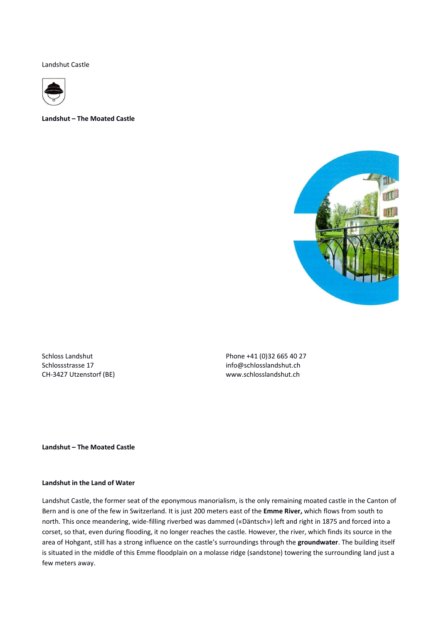Landshut Castle



**Landshut – The Moated Castle**



Schloss Landshut Phone +41 (0)32 665 40 27 Schlossstrasse 17 info@schlosslandshut.ch CH-3427 Utzenstorf (BE) www.schlosslandshut.ch

**Landshut – The Moated Castle**

# **Landshut in the Land of Water**

Landshut Castle, the former seat of the eponymous manorialism, is the only remaining moated castle in the Canton of Bern and is one of the few in Switzerland. It is just 200 meters east of the **Emme River,** which flows from south to north. This once meandering, wide-filling riverbed was dammed («Däntsch») left and right in 1875 and forced into a corset, so that, even during flooding, it no longer reaches the castle. However, the river, which finds its source in the area of Hohgant, still has a strong influence on the castle's surroundings through the **groundwater**. The building itself is situated in the middle of this Emme floodplain on a molasse ridge (sandstone) towering the surrounding land just a few meters away.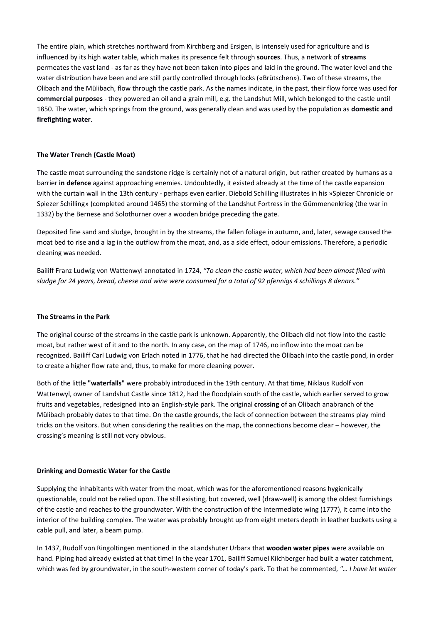The entire plain, which stretches northward from Kirchberg and Ersigen, is intensely used for agriculture and is influenced by its high water table, which makes its presence felt through **sources**. Thus, a network of **streams**  permeates the vast land - as far as they have not been taken into pipes and laid in the ground. The water level and the water distribution have been and are still partly controlled through locks («Brütschen»). Two of these streams, the Olibach and the Mülibach, flow through the castle park. As the names indicate, in the past, their flow force was used for **commercial purposes** - they powered an oil and a grain mill, e.g. the Landshut Mill, which belonged to the castle until 1850. The water, which springs from the ground, was generally clean and was used by the population as **domestic and firefighting water**.

### **The Water Trench (Castle Moat)**

The castle moat surrounding the sandstone ridge is certainly not of a natural origin, but rather created by humans as a barrier **in defence** against approaching enemies. Undoubtedly, it existed already at the time of the castle expansion with the curtain wall in the 13th century - perhaps even earlier. Diebold Schilling illustrates in his »Spiezer Chronicle or Spiezer Schilling» (completed around 1465) the storming of the Landshut Fortress in the Gümmenenkrieg (the war in 1332) by the Bernese and Solothurner over a wooden bridge preceding the gate.

Deposited fine sand and sludge, brought in by the streams, the fallen foliage in autumn, and, later, sewage caused the moat bed to rise and a lag in the outflow from the moat, and, as a side effect, odour emissions. Therefore, a periodic cleaning was needed.

Bailiff Franz Ludwig von Wattenwyl annotated in 1724, *"To clean the castle water, which had been almost filled with sludge for 24 years, bread, cheese and wine were consumed for a total of 92 pfennigs 4 schillings 8 denars."*

### **The Streams in the Park**

The original course of the streams in the castle park is unknown. Apparently, the Olibach did not flow into the castle moat, but rather west of it and to the north. In any case, on the map of 1746, no inflow into the moat can be recognized. Bailiff Carl Ludwig von Erlach noted in 1776, that he had directed the Ölibach into the castle pond, in order to create a higher flow rate and, thus, to make for more cleaning power.

Both of the little **"waterfalls"** were probably introduced in the 19th century. At that time, Niklaus Rudolf von Wattenwyl, owner of Landshut Castle since 1812, had the floodplain south of the castle, which earlier served to grow fruits and vegetables, redesigned into an English-style park. The original **crossing** of an Ölibach anabranch of the Mülibach probably dates to that time. On the castle grounds, the lack of connection between the streams play mind tricks on the visitors. But when considering the realities on the map, the connections become clear – however, the crossing's meaning is still not very obvious.

### **Drinking and Domestic Water for the Castle**

Supplying the inhabitants with water from the moat, which was for the aforementioned reasons hygienically questionable, could not be relied upon. The still existing, but covered, well (draw-well) is among the oldest furnishings of the castle and reaches to the groundwater. With the construction of the intermediate wing (1777), it came into the interior of the building complex. The water was probably brought up from eight meters depth in leather buckets using a cable pull, and later, a beam pump.

In 1437, Rudolf von Ringoltingen mentioned in the «Landshuter Urbar» that **wooden water pipes** were available on hand. Piping had already existed at that time! In the year 1701, Bailiff Samuel Kilchberger had built a water catchment, which was fed by groundwater, in the south-western corner of today's park. To that he commented, *"… I have let water*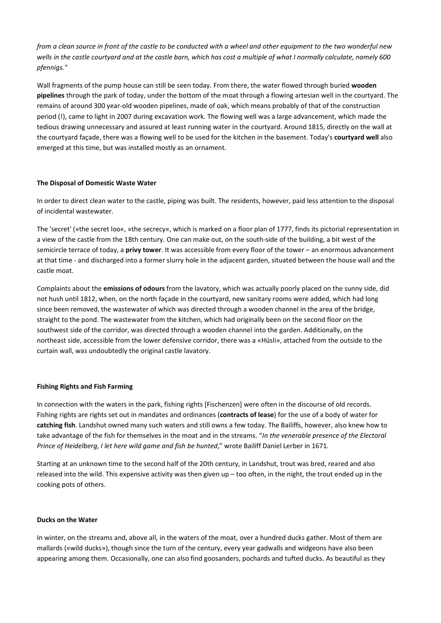*from a clean source in front of the castle to be conducted with a wheel and other equipment to the two wonderful new wells in the castle courtyard and at the castle barn, which has cost a multiple of what I normally calculate, namely 600 pfennigs."*

Wall fragments of the pump house can still be seen today. From there, the water flowed through buried **wooden pipelines** through the park of today, under the bottom of the moat through a flowing artesian well in the courtyard. The remains of around 300 year-old wooden pipelines, made of oak, which means probably of that of the construction period (!), came to light in 2007 during excavation work. The flowing well was a large advancement, which made the tedious drawing unnecessary and assured at least running water in the courtyard. Around 1815, directly on the wall at the courtyard façade, there was a flowing well to be used for the kitchen in the basement. Today's **courtyard well** also emerged at this time, but was installed mostly as an ornament.

### **The Disposal of Domestic Waste Water**

In order to direct clean water to the castle, piping was built. The residents, however, paid less attention to the disposal of incidental wastewater.

The 'secret' (»the secret loo«, »the secrecy«, which is marked on a floor plan of 1777, finds its pictorial representation in a view of the castle from the 18th century. One can make out, on the south-side of the building, a bit west of the semicircle terrace of today, a **privy tower**. It was accessible from every floor of the tower – an enormous advancement at that time - and discharged into a former slurry hole in the adjacent garden, situated between the house wall and the castle moat.

Complaints about the **emissions of odours** from the lavatory, which was actually poorly placed on the sunny side, did not hush until 1812, when, on the north façade in the courtyard, new sanitary rooms were added, which had long since been removed, the wastewater of which was directed through a wooden channel in the area of the bridge, straight to the pond. The wastewater from the kitchen, which had originally been on the second floor on the southwest side of the corridor, was directed through a wooden channel into the garden. Additionally, on the northeast side, accessible from the lower defensive corridor, there was a «Hüsli», attached from the outside to the curtain wall, was undoubtedly the original castle lavatory.

### **Fishing Rights and Fish Farming**

In connection with the waters in the park, fishing rights [Fischenzen] were often in the discourse of old records. Fishing rights are rights set out in mandates and ordinances (**contracts of lease**) for the use of a body of water for **catching fish**. Landshut owned many such waters and still owns a few today. The Bailiffs, however, also knew how to take advantage of the fish for themselves in the moat and in the streams. "*In the venerable presence of the Electoral Prince of Heidelberg, I let here wild game and fish be hunted*," wrote Bailiff Daniel Lerber in 1671.

Starting at an unknown time to the second half of the 20th century, in Landshut, trout was bred, reared and also released into the wild. This expensive activity was then given up  $-$  too often, in the night, the trout ended up in the cooking pots of others.

#### **Ducks on the Water**

In winter, on the streams and, above all, in the waters of the moat, over a hundred ducks gather. Most of them are mallards («wild ducks»), though since the turn of the century, every year gadwalls and widgeons have also been appearing among them. Occasionally, one can also find goosanders, pochards and tufted ducks. As beautiful as they